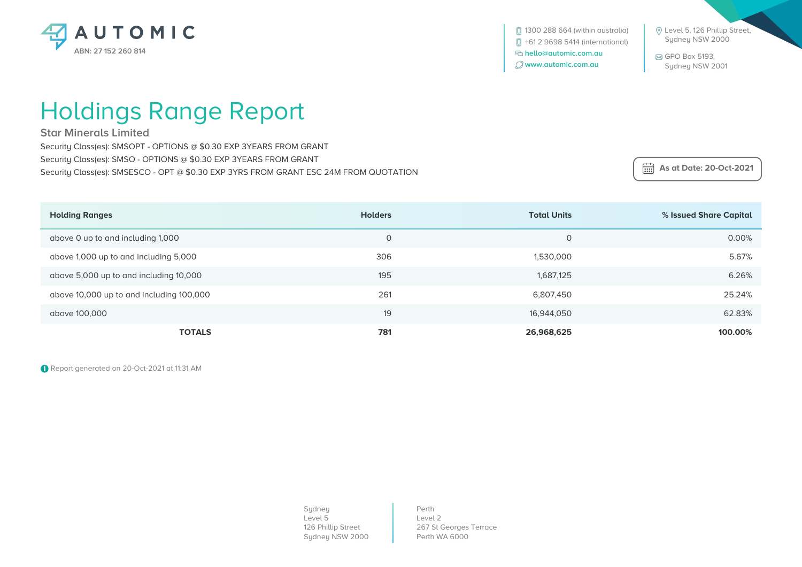

 Level 5, 126 Phillip Street, Sydney NSW 2000

 GPO Box 5193, Sydney NSW 2001

## Holdings Range Report

**Star Minerals Limited**

Security Class(es): SMSOPT - OPTIONS @ \$0.30 EXP 3YEARS FROM GRANT Security Class(es): SMSO - OPTIONS @ \$0.30 EXP 3YEARS FROM GRANT Security Class(es): SMSESCO - OPT @ \$0.30 EXP 3YRS FROM GRANT ESC 24M FROM QUOTATION

 **As at Date: 20-Oct-2021**

| <b>Holding Ranges</b>                    | <b>Holders</b> | <b>Total Units</b> | % Issued Share Capital |
|------------------------------------------|----------------|--------------------|------------------------|
| above 0 up to and including 1,000        | 0              | $\circ$            | 0.00%                  |
| above 1,000 up to and including 5,000    | 306            | 1,530,000          | 5.67%                  |
| above 5,000 up to and including 10,000   | 195            | 1,687,125          | 6.26%                  |
| above 10,000 up to and including 100,000 | 261            | 6,807,450          | 25.24%                 |
| above 100,000                            | 19             | 16,944,050         | 62.83%                 |
| <b>TOTALS</b>                            | 781            | 26,968,625         | 100.00%                |

Report generated on 20-Oct-2021 at 11:31 AM

Sydney Level 5 126 Phillip Street Sydney NSW 2000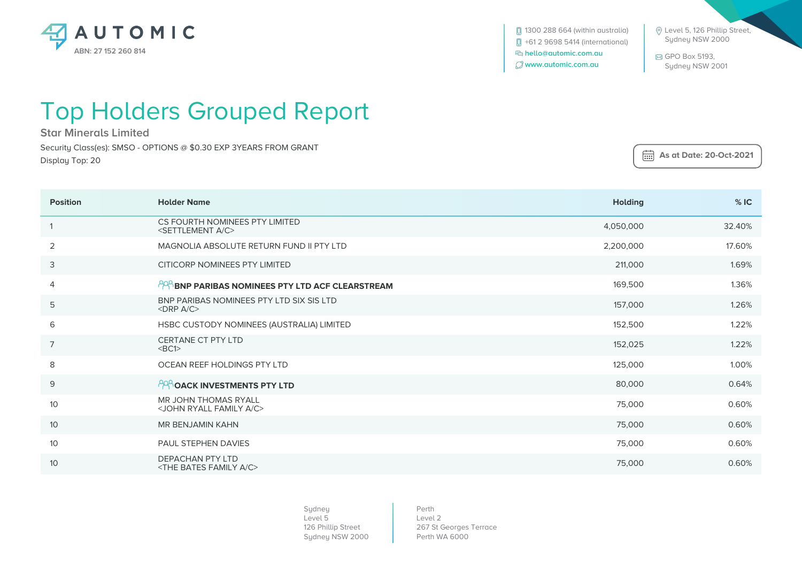

**[**] 1300 288 664 (within australia) +61 2 9698 5414 (international)  **hello@automic.com.au www.automic.com.au**

 Level 5, 126 Phillip Street, Sydney NSW 2000

 GPO Box 5193, Sydney NSW 2001

 **As at Date: 20-Oct-2021**

## Top Holders Grouped Report

**Star Minerals Limited**

Security Class(es): SMSO - OPTIONS @ \$0.30 EXP 3YEARS FROM GRANT Display Top: 20

| <b>Position</b> | <b>Holder Name</b>                                                        | <b>Holding</b> | %IC    |
|-----------------|---------------------------------------------------------------------------|----------------|--------|
|                 | CS FOURTH NOMINEES PTY LIMITED<br><settlement a="" c=""></settlement>     | 4,050,000      | 32.40% |
| 2               | MAGNOLIA ABSOLUTE RETURN FUND II PTY LTD                                  | 2,200,000      | 17.60% |
| 3               | CITICORP NOMINEES PTY LIMITED                                             | 211,000        | 1.69%  |
| 4               | <b>PPP BNP PARIBAS NOMINEES PTY LTD ACF CLEARSTREAM</b>                   | 169,500        | 1.36%  |
| 5               | BNP PARIBAS NOMINEES PTY LTD SIX SIS LTD<br>$\langle$ DRP A/C $>$         | 157,000        | 1.26%  |
| 6               | HSBC CUSTODY NOMINEES (AUSTRALIA) LIMITED                                 | 152,500        | 1.22%  |
| $\overline{7}$  | CERTANE CT PTY LTD<br><bc1></bc1>                                         | 152,025        | 1.22%  |
| 8               | OCEAN REEF HOLDINGS PTY LTD                                               | 125,000        | 1.00%  |
| $\mathsf 9$     | <b>PROACK INVESTMENTS PTY LTD</b>                                         | 80,000         | 0.64%  |
| 10              | <b>MR JOHN THOMAS RYALL</b><br><john a="" c="" family="" ryall=""></john> | 75,000         | 0.60%  |
| 10              | <b>MR BENJAMIN KAHN</b>                                                   | 75,000         | 0.60%  |
| 10              | PAUL STEPHEN DAVIES                                                       | 75,000         | 0.60%  |
| 10              | <b>DEPACHAN PTY LTD</b><br><the a="" bates="" c="" family=""></the>       | 75,000         | 0.60%  |

Sydney Level 5 126 Phillip Street Sydney NSW 2000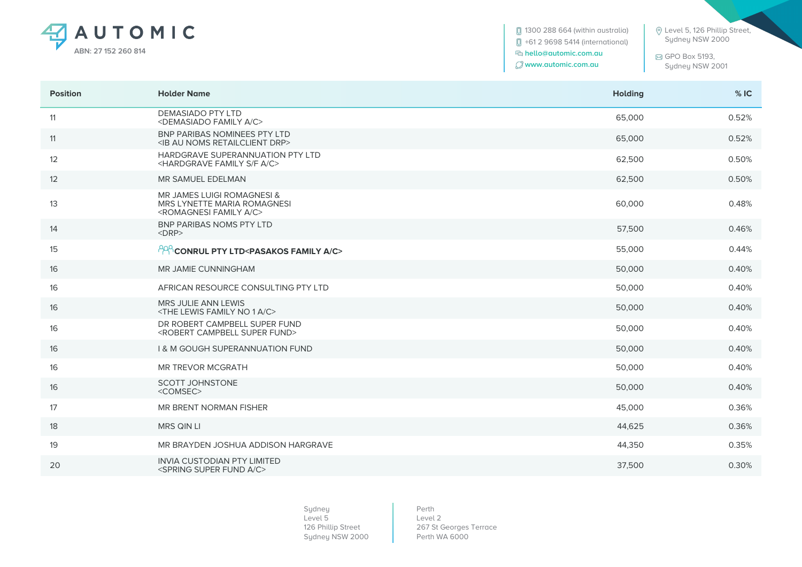

**1300 288 664 (within australia)**  +61 2 9698 5414 (international)  **hello@automic.com.au www.automic.com.au**

 Level 5, 126 Phillip Street, Sydney NSW 2000

 GPO Box 5193, Sydney NSW 2001

| <b>Position</b> | <b>Holder Name</b>                                                                                                  | <b>Holding</b> | %IC   |
|-----------------|---------------------------------------------------------------------------------------------------------------------|----------------|-------|
| 11              | <b>DEMASIADO PTY LTD</b><br><demasiado a="" c="" family=""></demasiado>                                             | 65,000         | 0.52% |
| 11              | <b>BNP PARIBAS NOMINEES PTY LTD</b><br><ib au="" drp="" noms="" retailclient=""></ib>                               | 65,000         | 0.52% |
| 12              | HARDGRAVE SUPERANNUATION PTY LTD<br><hardgrave a="" c="" f="" family="" s=""></hardgrave>                           | 62,500         | 0.50% |
| 12              | MR SAMUEL EDELMAN                                                                                                   | 62,500         | 0.50% |
| 13              | <b>MR JAMES LUIGI ROMAGNESI &amp;</b><br>MRS LYNETTE MARIA ROMAGNESI<br><romagnesi a="" c="" family=""></romagnesi> | 60,000         | 0.48% |
| 14              | <b>BNP PARIBAS NOMS PTY LTD</b><br>$<$ DRP $>$                                                                      | 57,500         | 0.46% |
| 15              | PPP CONRUL PTY LTD <pasakos a="" c="" family=""></pasakos>                                                          | 55,000         | 0.44% |
| 16              | <b>MR JAMIE CUNNINGHAM</b>                                                                                          | 50,000         | 0.40% |
| 16              | AFRICAN RESOURCE CONSULTING PTY LTD                                                                                 | 50,000         | 0.40% |
| 16              | <b>MRS JULIE ANN LEWIS</b><br><the 1="" a="" c="" family="" lewis="" no=""></the>                                   | 50,000         | 0.40% |
| 16              | DR ROBERT CAMPBELL SUPER FUND<br><robert campbell="" fund="" super=""></robert>                                     | 50,000         | 0.40% |
| 16              | <b>1&amp; M GOUGH SUPERANNUATION FUND</b>                                                                           | 50,000         | 0.40% |
| 16              | <b>MR TREVOR MCGRATH</b>                                                                                            | 50,000         | 0.40% |
| 16              | <b>SCOTT JOHNSTONE</b><br><comsec></comsec>                                                                         | 50,000         | 0.40% |
| 17              | MR BRENT NORMAN FISHER                                                                                              | 45,000         | 0.36% |
| 18              | MRS QIN LI                                                                                                          | 44,625         | 0.36% |
| 19              | MR BRAYDEN JOSHUA ADDISON HARGRAVE                                                                                  | 44,350         | 0.35% |
| 20              | <b>INVIA CUSTODIAN PTY LIMITED</b><br><spring a="" c="" fund="" super=""></spring>                                  | 37,500         | 0.30% |

Sydney Level 5 126 Phillip Street Sydney NSW 2000